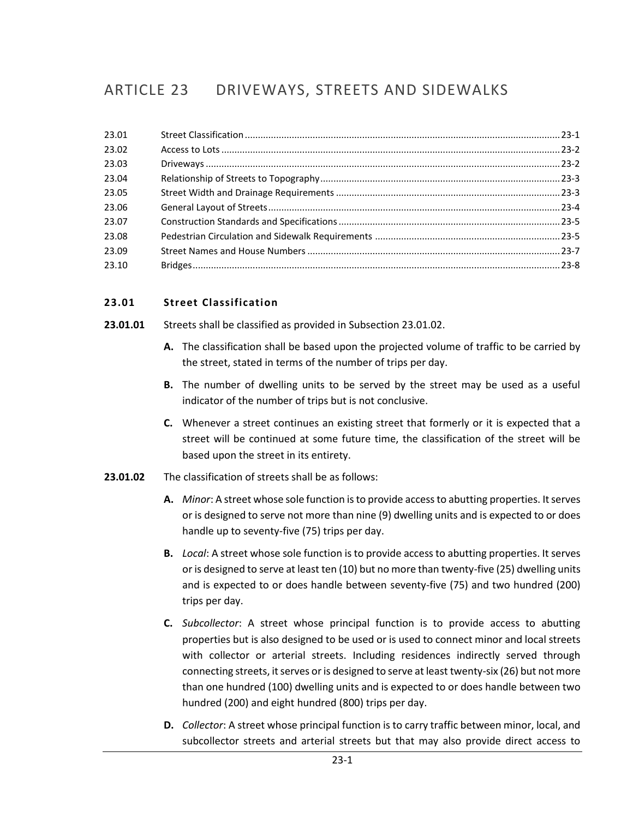# ARTICLE 23 DRIVEWAYS, STREETS AND SIDEWALKS

# <span id="page-0-0"></span>**23.01 Street Classification**

- **23.01.01** Streets shall be classified as provided in Subsection 23.01.02.
	- **A.** The classification shall be based upon the projected volume of traffic to be carried by the street, stated in terms of the number of trips per day.
	- **B.** The number of dwelling units to be served by the street may be used as a useful indicator of the number of trips but is not conclusive.
	- **C.** Whenever a street continues an existing street that formerly or it is expected that a street will be continued at some future time, the classification of the street will be based upon the street in its entirety.
- **23.01.02** The classification of streets shall be as follows:
	- **A.** *Minor*: A street whose sole function is to provide access to abutting properties. It serves or is designed to serve not more than nine (9) dwelling units and is expected to or does handle up to seventy-five (75) trips per day.
	- **B.** *Local*: A street whose sole function is to provide access to abutting properties. It serves or is designed to serve at least ten (10) but no more than twenty-five (25) dwelling units and is expected to or does handle between seventy-five (75) and two hundred (200) trips per day.
	- **C.** *Subcollector*: A street whose principal function is to provide access to abutting properties but is also designed to be used or is used to connect minor and local streets with collector or arterial streets. Including residences indirectly served through connecting streets, it serves or is designed to serve at least twenty-six (26) but not more than one hundred (100) dwelling units and is expected to or does handle between two hundred (200) and eight hundred (800) trips per day.
	- **D.** *Collector*: A street whose principal function is to carry traffic between minor, local, and subcollector streets and arterial streets but that may also provide direct access to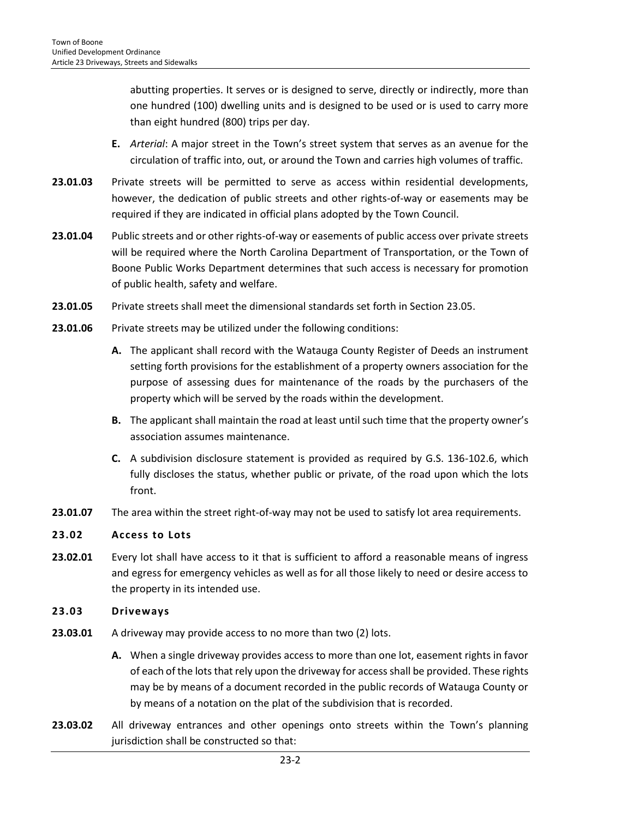abutting properties. It serves or is designed to serve, directly or indirectly, more than one hundred (100) dwelling units and is designed to be used or is used to carry more than eight hundred (800) trips per day.

- **E.** *Arterial*: A major street in the Town's street system that serves as an avenue for the circulation of traffic into, out, or around the Town and carries high volumes of traffic.
- **23.01.03** Private streets will be permitted to serve as access within residential developments, however, the dedication of public streets and other rights-of-way or easements may be required if they are indicated in official plans adopted by the Town Council.
- **23.01.04** Public streets and or other rights-of-way or easements of public access over private streets will be required where the North Carolina Department of Transportation, or the Town of Boone Public Works Department determines that such access is necessary for promotion of public health, safety and welfare.
- **23.01.05** Private streets shall meet the dimensional standards set forth in Section 23.05.
- **23.01.06** Private streets may be utilized under the following conditions:
	- **A.** The applicant shall record with the Watauga County Register of Deeds an instrument setting forth provisions for the establishment of a property owners association for the purpose of assessing dues for maintenance of the roads by the purchasers of the property which will be served by the roads within the development.
	- **B.** The applicant shall maintain the road at least until such time that the property owner's association assumes maintenance.
	- **C.** A subdivision disclosure statement is provided as required by G.S. 136-102.6, which fully discloses the status, whether public or private, of the road upon which the lots front.
- **23.01.07** The area within the street right-of-way may not be used to satisfy lot area requirements.

# <span id="page-1-0"></span>**23.02 Access to Lots**

**23.02.01** Every lot shall have access to it that is sufficient to afford a reasonable means of ingress and egress for emergency vehicles as well as for all those likely to need or desire access to the property in its intended use.

#### <span id="page-1-1"></span>**23.03 Driveways**

- **23.03.01** A driveway may provide access to no more than two (2) lots.
	- **A.** When a single driveway provides access to more than one lot, easement rights in favor of each of the lots that rely upon the driveway for access shall be provided. These rights may be by means of a document recorded in the public records of Watauga County or by means of a notation on the plat of the subdivision that is recorded.
- **23.03.02** All driveway entrances and other openings onto streets within the Town's planning jurisdiction shall be constructed so that: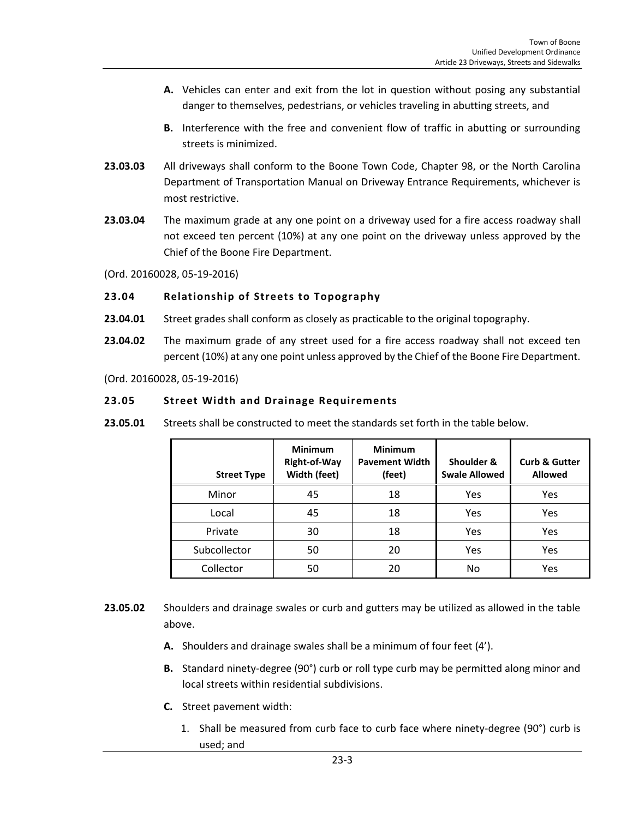- **A.** Vehicles can enter and exit from the lot in question without posing any substantial danger to themselves, pedestrians, or vehicles traveling in abutting streets, and
- **B.** Interference with the free and convenient flow of traffic in abutting or surrounding streets is minimized.
- **23.03.03** All driveways shall conform to the Boone Town Code, Chapter 98, or the North Carolina Department of Transportation Manual on Driveway Entrance Requirements, whichever is most restrictive.
- **23.03.04** The maximum grade at any one point on a driveway used for a fire access roadway shall not exceed ten percent (10%) at any one point on the driveway unless approved by the Chief of the Boone Fire Department.
- (Ord. 20160028, 05-19-2016)

### <span id="page-2-0"></span>**23.04 Relationship of Streets to Topography**

- **23.04.01** Street grades shall conform as closely as practicable to the original topography.
- **23.04.02** The maximum grade of any street used for a fire access roadway shall not exceed ten percent (10%) at any one point unless approved by the Chief of the Boone Fire Department.

(Ord. 20160028, 05-19-2016)

### <span id="page-2-1"></span>**23.05 Street Width and Drainage Requirements**

**23.05.01** Streets shall be constructed to meet the standards set forth in the table below.

| <b>Street Type</b> | <b>Minimum</b><br><b>Right-of-Way</b><br>Width (feet) | <b>Minimum</b><br><b>Pavement Width</b><br>(feet) | Shoulder &<br><b>Swale Allowed</b> | <b>Curb &amp; Gutter</b><br><b>Allowed</b> |
|--------------------|-------------------------------------------------------|---------------------------------------------------|------------------------------------|--------------------------------------------|
| Minor              | 45                                                    | 18                                                | Yes                                | Yes                                        |
| Local              | 45                                                    | 18                                                | Yes                                | Yes                                        |
| Private            | 30                                                    | 18                                                | Yes                                | Yes                                        |
| Subcollector       | 50                                                    | 20                                                | Yes                                | Yes                                        |
| Collector          | 50                                                    | 20                                                | No                                 | Yes                                        |

- **23.05.02** Shoulders and drainage swales or curb and gutters may be utilized as allowed in the table above.
	- **A.** Shoulders and drainage swales shall be a minimum of four feet (4').
	- **B.** Standard ninety-degree (90°) curb or roll type curb may be permitted along minor and local streets within residential subdivisions.
	- **C.** Street pavement width:
		- 1. Shall be measured from curb face to curb face where ninety-degree (90°) curb is used; and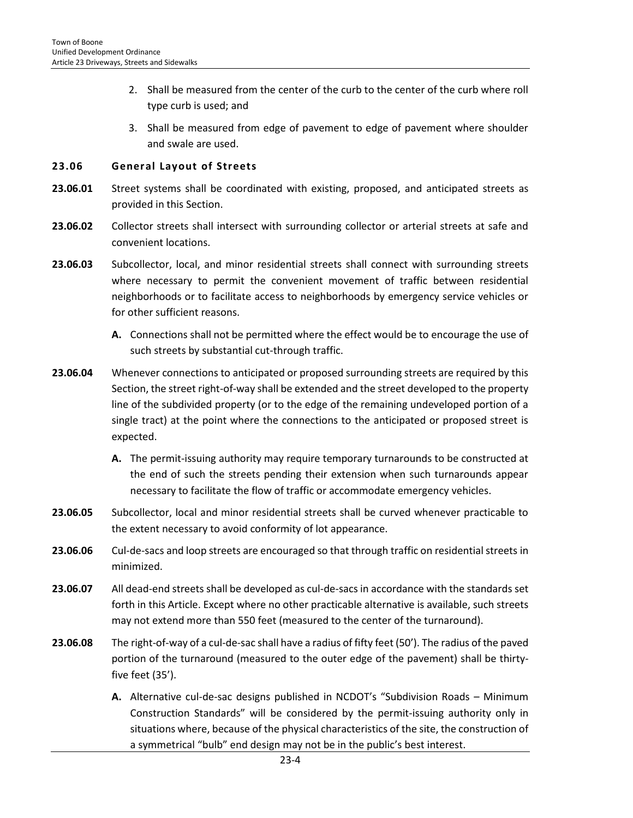- 2. Shall be measured from the center of the curb to the center of the curb where roll type curb is used; and
- 3. Shall be measured from edge of pavement to edge of pavement where shoulder and swale are used.

#### <span id="page-3-0"></span>**23.06 General Layout of Streets**

- **23.06.01** Street systems shall be coordinated with existing, proposed, and anticipated streets as provided in this Section.
- **23.06.02** Collector streets shall intersect with surrounding collector or arterial streets at safe and convenient locations.
- **23.06.03** Subcollector, local, and minor residential streets shall connect with surrounding streets where necessary to permit the convenient movement of traffic between residential neighborhoods or to facilitate access to neighborhoods by emergency service vehicles or for other sufficient reasons.
	- **A.** Connections shall not be permitted where the effect would be to encourage the use of such streets by substantial cut-through traffic.
- **23.06.04** Whenever connections to anticipated or proposed surrounding streets are required by this Section, the street right-of-way shall be extended and the street developed to the property line of the subdivided property (or to the edge of the remaining undeveloped portion of a single tract) at the point where the connections to the anticipated or proposed street is expected.
	- **A.** The permit-issuing authority may require temporary turnarounds to be constructed at the end of such the streets pending their extension when such turnarounds appear necessary to facilitate the flow of traffic or accommodate emergency vehicles.
- **23.06.05** Subcollector, local and minor residential streets shall be curved whenever practicable to the extent necessary to avoid conformity of lot appearance.
- **23.06.06** Cul-de-sacs and loop streets are encouraged so that through traffic on residential streets in minimized.
- **23.06.07** All dead-end streets shall be developed as cul-de-sacs in accordance with the standards set forth in this Article. Except where no other practicable alternative is available, such streets may not extend more than 550 feet (measured to the center of the turnaround).
- **23.06.08** The right-of-way of a cul-de-sac shall have a radius of fifty feet (50'). The radius of the paved portion of the turnaround (measured to the outer edge of the pavement) shall be thirtyfive feet (35').
	- **A.** Alternative cul-de-sac designs published in NCDOT's "Subdivision Roads Minimum Construction Standards" will be considered by the permit-issuing authority only in situations where, because of the physical characteristics of the site, the construction of a symmetrical "bulb" end design may not be in the public's best interest.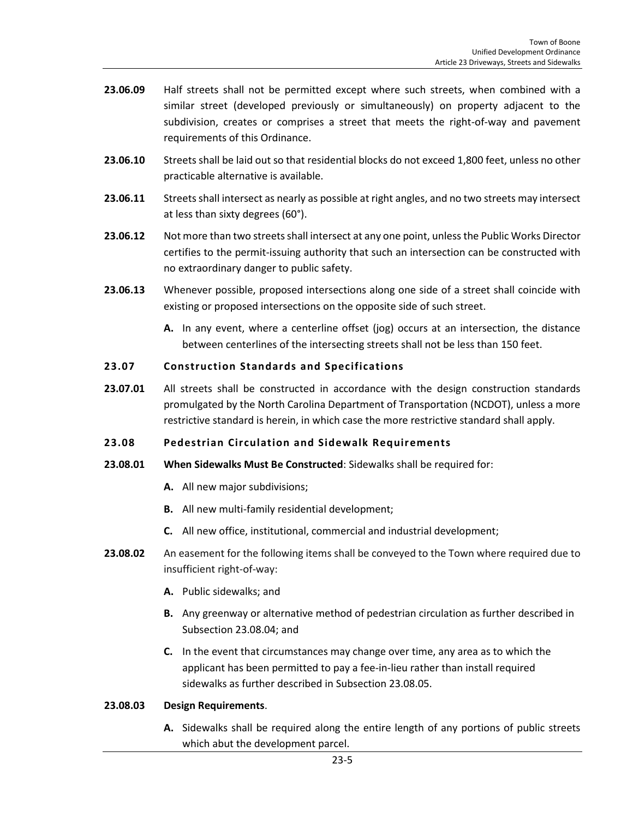- **23.06.09** Half streets shall not be permitted except where such streets, when combined with a similar street (developed previously or simultaneously) on property adjacent to the subdivision, creates or comprises a street that meets the right-of-way and pavement requirements of this Ordinance.
- 23.06.10 Streets shall be laid out so that residential blocks do not exceed 1,800 feet, unless no other practicable alternative is available.
- 23.06.11 Streets shall intersect as nearly as possible at right angles, and no two streets may intersect at less than sixty degrees (60°).
- **23.06.12** Not more than two streets shall intersect at any one point, unless the Public Works Director certifies to the permit-issuing authority that such an intersection can be constructed with no extraordinary danger to public safety.
- **23.06.13** Whenever possible, proposed intersections along one side of a street shall coincide with existing or proposed intersections on the opposite side of such street.
	- **A.** In any event, where a centerline offset (jog) occurs at an intersection, the distance between centerlines of the intersecting streets shall not be less than 150 feet.

# <span id="page-4-0"></span>**23.07 Construction Standards and Specifications**

**23.07.01** All streets shall be constructed in accordance with the design construction standards promulgated by the North Carolina Department of Transportation (NCDOT), unless a more restrictive standard is herein, in which case the more restrictive standard shall apply.

#### <span id="page-4-1"></span>**23.08 Pedestrian Circulation and Sidewalk Requirements**

- **23.08.01 When Sidewalks Must Be Constructed**: Sidewalks shall be required for:
	- **A.** All new major subdivisions;
	- **B.** All new multi-family residential development;
	- **C.** All new office, institutional, commercial and industrial development;
- **23.08.02** An easement for the following items shall be conveyed to the Town where required due to insufficient right-of-way:
	- **A.** Public sidewalks; and
	- **B.** Any greenway or alternative method of pedestrian circulation as further described in Subsection 23.08.04; and
	- **C.** In the event that circumstances may change over time, any area as to which the applicant has been permitted to pay a fee-in-lieu rather than install required sidewalks as further described in Subsection 23.08.05.

#### **23.08.03 Design Requirements**.

**A.** Sidewalks shall be required along the entire length of any portions of public streets which abut the development parcel.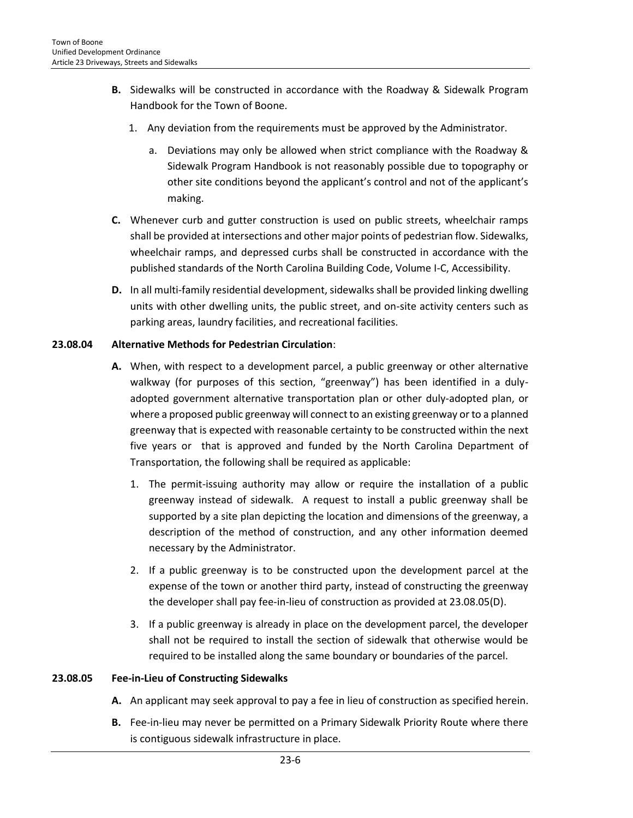- **B.** Sidewalks will be constructed in accordance with the Roadway & Sidewalk Program Handbook for the Town of Boone.
	- 1. Any deviation from the requirements must be approved by the Administrator.
		- a. Deviations may only be allowed when strict compliance with the Roadway & Sidewalk Program Handbook is not reasonably possible due to topography or other site conditions beyond the applicant's control and not of the applicant's making.
- **C.** Whenever curb and gutter construction is used on public streets, wheelchair ramps shall be provided at intersections and other major points of pedestrian flow. Sidewalks, wheelchair ramps, and depressed curbs shall be constructed in accordance with the published standards of the North Carolina Building Code, Volume I-C, Accessibility.
- **D.** In all multi-family residential development, sidewalks shall be provided linking dwelling units with other dwelling units, the public street, and on-site activity centers such as parking areas, laundry facilities, and recreational facilities.

### **23.08.04 Alternative Methods for Pedestrian Circulation**:

- **A.** When, with respect to a development parcel, a public greenway or other alternative walkway (for purposes of this section, "greenway") has been identified in a dulyadopted government alternative transportation plan or other duly-adopted plan, or where a proposed public greenway will connect to an existing greenway or to a planned greenway that is expected with reasonable certainty to be constructed within the next five years or that is approved and funded by the North Carolina Department of Transportation, the following shall be required as applicable:
	- 1. The permit-issuing authority may allow or require the installation of a public greenway instead of sidewalk. A request to install a public greenway shall be supported by a site plan depicting the location and dimensions of the greenway, a description of the method of construction, and any other information deemed necessary by the Administrator.
	- 2. If a public greenway is to be constructed upon the development parcel at the expense of the town or another third party, instead of constructing the greenway the developer shall pay fee-in-lieu of construction as provided at 23.08.05(D).
	- 3. If a public greenway is already in place on the development parcel, the developer shall not be required to install the section of sidewalk that otherwise would be required to be installed along the same boundary or boundaries of the parcel.

# **23.08.05 Fee-in-Lieu of Constructing Sidewalks**

- **A.** An applicant may seek approval to pay a fee in lieu of construction as specified herein.
- **B.** Fee-in-lieu may never be permitted on a Primary Sidewalk Priority Route where there is contiguous sidewalk infrastructure in place.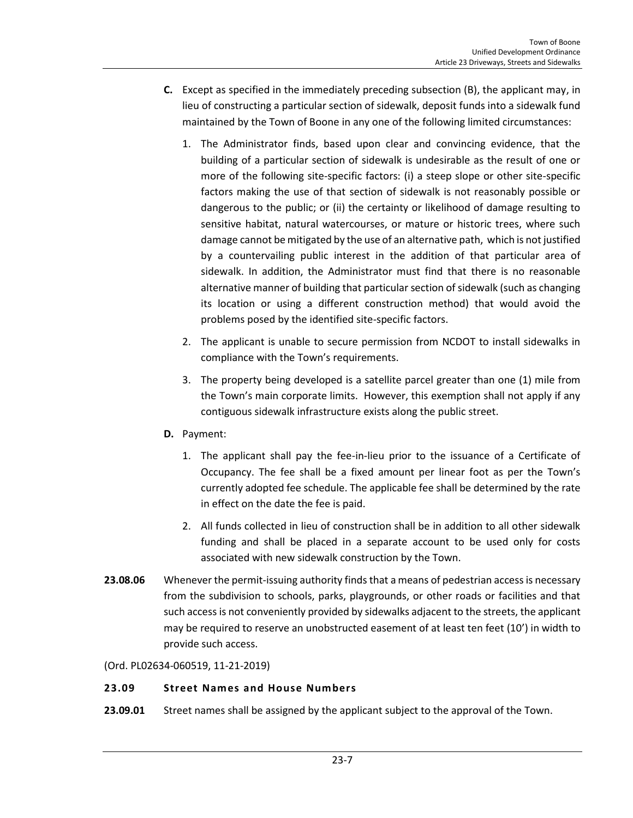- **C.** Except as specified in the immediately preceding subsection (B), the applicant may, in lieu of constructing a particular section of sidewalk, deposit funds into a sidewalk fund maintained by the Town of Boone in any one of the following limited circumstances:
	- 1. The Administrator finds, based upon clear and convincing evidence, that the building of a particular section of sidewalk is undesirable as the result of one or more of the following site-specific factors: (i) a steep slope or other site-specific factors making the use of that section of sidewalk is not reasonably possible or dangerous to the public; or (ii) the certainty or likelihood of damage resulting to sensitive habitat, natural watercourses, or mature or historic trees, where such damage cannot be mitigated by the use of an alternative path, which is not justified by a countervailing public interest in the addition of that particular area of sidewalk. In addition, the Administrator must find that there is no reasonable alternative manner of building that particular section of sidewalk (such as changing its location or using a different construction method) that would avoid the problems posed by the identified site-specific factors.
	- 2. The applicant is unable to secure permission from NCDOT to install sidewalks in compliance with the Town's requirements.
	- 3. The property being developed is a satellite parcel greater than one (1) mile from the Town's main corporate limits. However, this exemption shall not apply if any contiguous sidewalk infrastructure exists along the public street.
- **D.** Payment:
	- 1. The applicant shall pay the fee-in-lieu prior to the issuance of a Certificate of Occupancy. The fee shall be a fixed amount per linear foot as per the Town's currently adopted fee schedule. The applicable fee shall be determined by the rate in effect on the date the fee is paid.
	- 2. All funds collected in lieu of construction shall be in addition to all other sidewalk funding and shall be placed in a separate account to be used only for costs associated with new sidewalk construction by the Town.
- **23.08.06** Whenever the permit-issuing authority finds that a means of pedestrian access is necessary from the subdivision to schools, parks, playgrounds, or other roads or facilities and that such access is not conveniently provided by sidewalks adjacent to the streets, the applicant may be required to reserve an unobstructed easement of at least ten feet (10') in width to provide such access.
- (Ord. PL02634-060519, 11-21-2019)

# <span id="page-6-0"></span>**23.09 Street Names and House Numbers**

**23.09.01** Street names shall be assigned by the applicant subject to the approval of the Town.